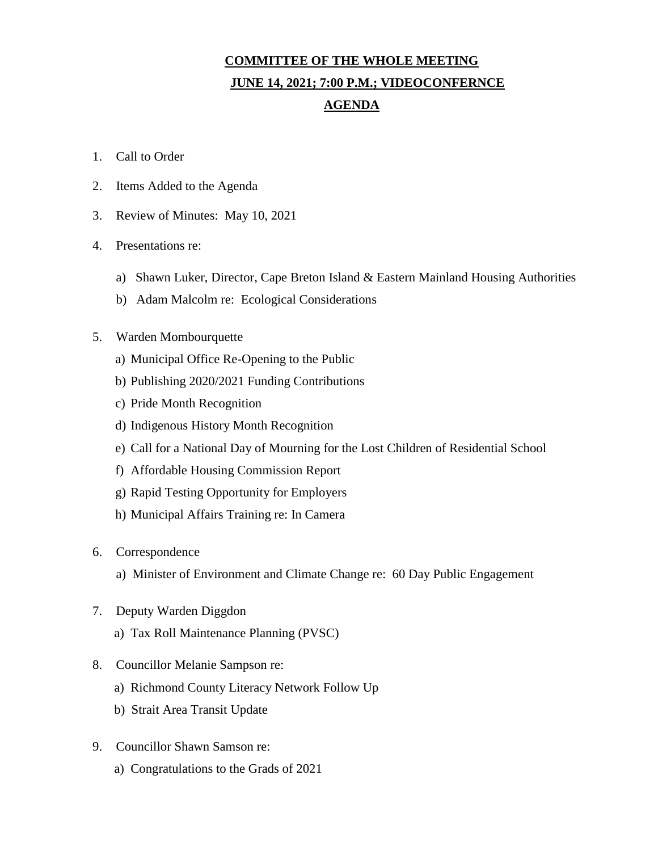## **COMMITTEE OF THE WHOLE MEETING JUNE 14, 2021; 7:00 P.M.; VIDEOCONFERNCE AGENDA**

- 1. Call to Order
- 2. Items Added to the Agenda
- 3. Review of Minutes: May 10, 2021
- 4. Presentations re:
	- a) Shawn Luker, Director, Cape Breton Island & Eastern Mainland Housing Authorities
	- b) Adam Malcolm re: Ecological Considerations
- 5. Warden Mombourquette
	- a) Municipal Office Re-Opening to the Public
	- b) Publishing 2020/2021 Funding Contributions
	- c) Pride Month Recognition
	- d) Indigenous History Month Recognition
	- e) Call for a National Day of Mourning for the Lost Children of Residential School
	- f) Affordable Housing Commission Report
	- g) Rapid Testing Opportunity for Employers
	- h) Municipal Affairs Training re: In Camera
- 6. Correspondence
	- a) Minister of Environment and Climate Change re: 60 Day Public Engagement
- 7. Deputy Warden Diggdon
	- a) Tax Roll Maintenance Planning (PVSC)
- 8. Councillor Melanie Sampson re:
	- a) Richmond County Literacy Network Follow Up
	- b) Strait Area Transit Update
- 9. Councillor Shawn Samson re:
	- a) Congratulations to the Grads of 2021